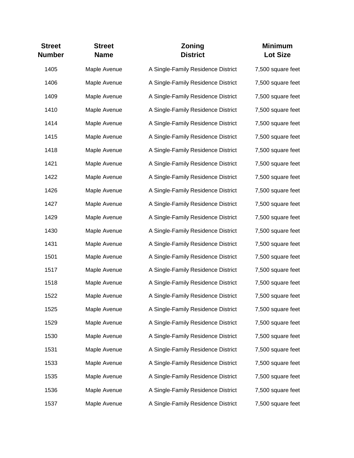| <b>Street</b><br><b>Number</b> | <b>Street</b><br><b>Name</b> | Zoning<br><b>District</b>          | <b>Minimum</b><br><b>Lot Size</b> |
|--------------------------------|------------------------------|------------------------------------|-----------------------------------|
| 1405                           | Maple Avenue                 | A Single-Family Residence District | 7,500 square feet                 |
| 1406                           | Maple Avenue                 | A Single-Family Residence District | 7,500 square feet                 |
| 1409                           | Maple Avenue                 | A Single-Family Residence District | 7,500 square feet                 |
| 1410                           | Maple Avenue                 | A Single-Family Residence District | 7,500 square feet                 |
| 1414                           | Maple Avenue                 | A Single-Family Residence District | 7,500 square feet                 |
| 1415                           | Maple Avenue                 | A Single-Family Residence District | 7,500 square feet                 |
| 1418                           | Maple Avenue                 | A Single-Family Residence District | 7,500 square feet                 |
| 1421                           | Maple Avenue                 | A Single-Family Residence District | 7,500 square feet                 |
| 1422                           | Maple Avenue                 | A Single-Family Residence District | 7,500 square feet                 |
| 1426                           | Maple Avenue                 | A Single-Family Residence District | 7,500 square feet                 |
| 1427                           | Maple Avenue                 | A Single-Family Residence District | 7,500 square feet                 |
| 1429                           | Maple Avenue                 | A Single-Family Residence District | 7,500 square feet                 |
| 1430                           | Maple Avenue                 | A Single-Family Residence District | 7,500 square feet                 |
| 1431                           | Maple Avenue                 | A Single-Family Residence District | 7,500 square feet                 |
| 1501                           | Maple Avenue                 | A Single-Family Residence District | 7,500 square feet                 |
| 1517                           | Maple Avenue                 | A Single-Family Residence District | 7,500 square feet                 |
| 1518                           | Maple Avenue                 | A Single-Family Residence District | 7,500 square feet                 |
| 1522                           | Maple Avenue                 | A Single-Family Residence District | 7,500 square feet                 |
| 1525                           | Maple Avenue                 | A Single-Family Residence District | 7,500 square feet                 |
| 1529                           | Maple Avenue                 | A Single-Family Residence District | 7,500 square feet                 |
| 1530                           | Maple Avenue                 | A Single-Family Residence District | 7,500 square feet                 |
| 1531                           | Maple Avenue                 | A Single-Family Residence District | 7,500 square feet                 |
| 1533                           | Maple Avenue                 | A Single-Family Residence District | 7,500 square feet                 |
| 1535                           | Maple Avenue                 | A Single-Family Residence District | 7,500 square feet                 |
| 1536                           | Maple Avenue                 | A Single-Family Residence District | 7,500 square feet                 |
| 1537                           | Maple Avenue                 | A Single-Family Residence District | 7,500 square feet                 |
|                                |                              |                                    |                                   |